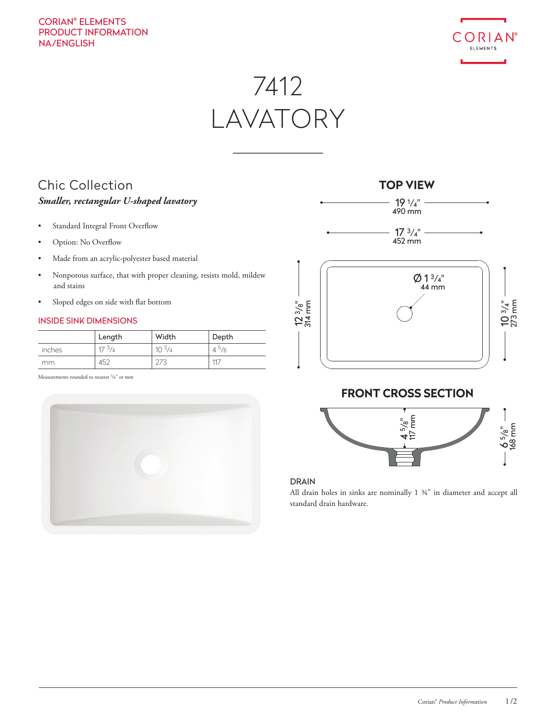# CORIAN® ELEMENTS PRODUCT INFORMATION NA/ENGLISH



7412 LAVATORY

# Chic Collection *Smaller, rectangular U-shaped lavatory*

- Standard Integral Front Overflow
- Option: No Overflow
- Made from an acrylic-polyester based material
- Nonporous surface, that with proper cleaning, resists mold, mildew and stains
- Sloped edges on side with flat bottom

### INSIDE SINK DIMENSIONS

|        | Length     | Width      | Depth     |
|--------|------------|------------|-----------|
| inches | $17^{3}/4$ | $10^{3}/4$ | $4^{5}/8$ |
| mm     | 452        | 273        | 117       |

Measurements rounded to nearest <sup>1</sup>/8" or mm





# 10 3/4" 273 mm

# **FRONT CROSS SECTION**



### DRAIN

All drain holes in sinks are nominally 1 ¾" in diameter and accept all standard drain hardware.